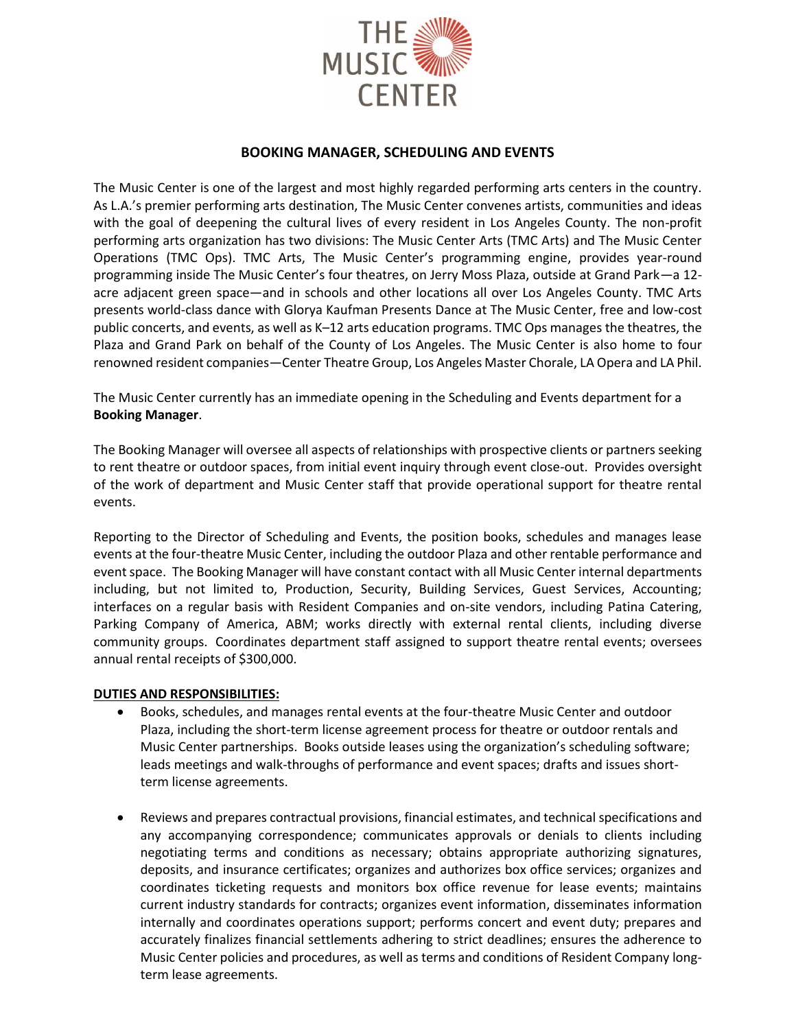

## **BOOKING MANAGER, SCHEDULING AND EVENTS**

The Music Center is one of the largest and most highly regarded performing arts centers in the country. As L.A.'s premier performing arts destination, The Music Center convenes artists, communities and ideas with the goal of deepening the cultural lives of every resident in Los Angeles County. The non-profit performing arts organization has two divisions: The Music Center Arts (TMC Arts) and The Music Center Operations (TMC Ops). TMC Arts, The Music Center's programming engine, provides year-round programming inside The Music Center's four theatres, on Jerry Moss Plaza, outside at Grand Park—a 12 acre adjacent green space—and in schools and other locations all over Los Angeles County. TMC Arts presents world-class dance with Glorya Kaufman Presents Dance at The Music Center, free and low-cost public concerts, and events, as well as K–12 arts education programs. TMC Ops manages the theatres, the Plaza and Grand Park on behalf of the County of Los Angeles. The Music Center is also home to four renowned resident companies—Center Theatre Group, Los Angeles Master Chorale, LA Opera and LA Phil.

The Music Center currently has an immediate opening in the Scheduling and Events department for a **Booking Manager**.

The Booking Manager will oversee all aspects of relationships with prospective clients or partners seeking to rent theatre or outdoor spaces, from initial event inquiry through event close-out. Provides oversight of the work of department and Music Center staff that provide operational support for theatre rental events.

Reporting to the Director of Scheduling and Events, the position books, schedules and manages lease events at the four-theatre Music Center, including the outdoor Plaza and other rentable performance and event space. The Booking Manager will have constant contact with all Music Center internal departments including, but not limited to, Production, Security, Building Services, Guest Services, Accounting; interfaces on a regular basis with Resident Companies and on-site vendors, including Patina Catering, Parking Company of America, ABM; works directly with external rental clients, including diverse community groups. Coordinates department staff assigned to support theatre rental events; oversees annual rental receipts of \$300,000.

#### **DUTIES AND RESPONSIBILITIES:**

- Books, schedules, and manages rental events at the four-theatre Music Center and outdoor Plaza, including the short-term license agreement process for theatre or outdoor rentals and Music Center partnerships. Books outside leases using the organization's scheduling software; leads meetings and walk-throughs of performance and event spaces; drafts and issues shortterm license agreements.
- Reviews and prepares contractual provisions, financial estimates, and technical specifications and any accompanying correspondence; communicates approvals or denials to clients including negotiating terms and conditions as necessary; obtains appropriate authorizing signatures, deposits, and insurance certificates; organizes and authorizes box office services; organizes and coordinates ticketing requests and monitors box office revenue for lease events; maintains current industry standards for contracts; organizes event information, disseminates information internally and coordinates operations support; performs concert and event duty; prepares and accurately finalizes financial settlements adhering to strict deadlines; ensures the adherence to Music Center policies and procedures, as well as terms and conditions of Resident Company longterm lease agreements.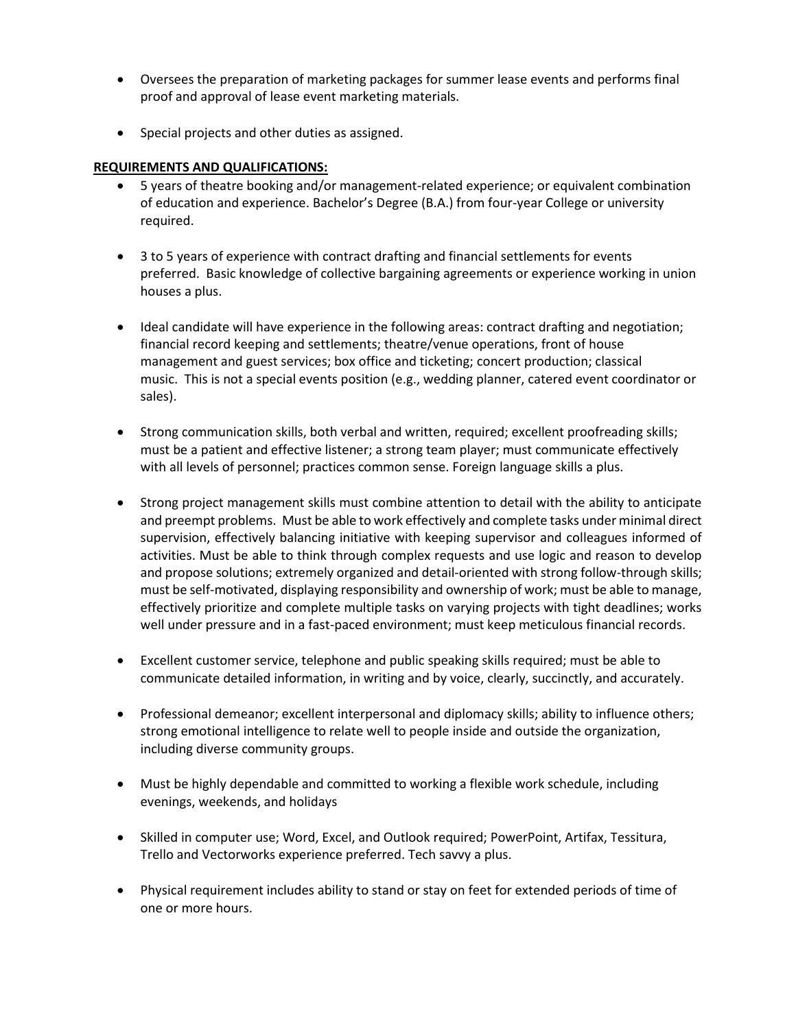- Oversees the preparation of marketing packages for summer lease events and performs final proof and approval of lease event marketing materials.
- Special projects and other duties as assigned.

## **REQUIREMENTS AND QUALIFICATIONS:**

- 5 years of theatre booking and/or management-related experience; or equivalent combination of education and experience. Bachelor's Degree (B.A.) from four-year College or university required.
- 3 to 5 years of experience with contract drafting and financial settlements for events preferred. Basic knowledge of collective bargaining agreements or experience working in union houses a plus.
- Ideal candidate will have experience in the following areas: contract drafting and negotiation; financial record keeping and settlements; theatre/venue operations, front of house management and guest services; box office and ticketing; concert production; classical music. This is not a special events position (e.g., wedding planner, catered event coordinator or sales).
- Strong communication skills, both verbal and written, required; excellent proofreading skills; must be a patient and effective listener; a strong team player; must communicate effectively with all levels of personnel; practices common sense. Foreign language skills a plus.
- Strong project management skills must combine attention to detail with the ability to anticipate and preempt problems. Must be able to work effectively and complete tasks under minimal direct supervision, effectively balancing initiative with keeping supervisor and colleagues informed of activities. Must be able to think through complex requests and use logic and reason to develop and propose solutions; extremely organized and detail-oriented with strong follow-through skills; must be self-motivated, displaying responsibility and ownership of work; must be able to manage, effectively prioritize and complete multiple tasks on varying projects with tight deadlines; works well under pressure and in a fast-paced environment; must keep meticulous financial records.
- Excellent customer service, telephone and public speaking skills required; must be able to communicate detailed information, in writing and by voice, clearly, succinctly, and accurately.
- Professional demeanor; excellent interpersonal and diplomacy skills; ability to influence others; strong emotional intelligence to relate well to people inside and outside the organization, including diverse community groups.
- Must be highly dependable and committed to working a flexible work schedule, including evenings, weekends, and holidays
- Skilled in computer use; Word, Excel, and Outlook required; PowerPoint, Artifax, Tessitura, Trello and Vectorworks experience preferred. Tech savvy a plus.
- Physical requirement includes ability to stand or stay on feet for extended periods of time of one or more hours.